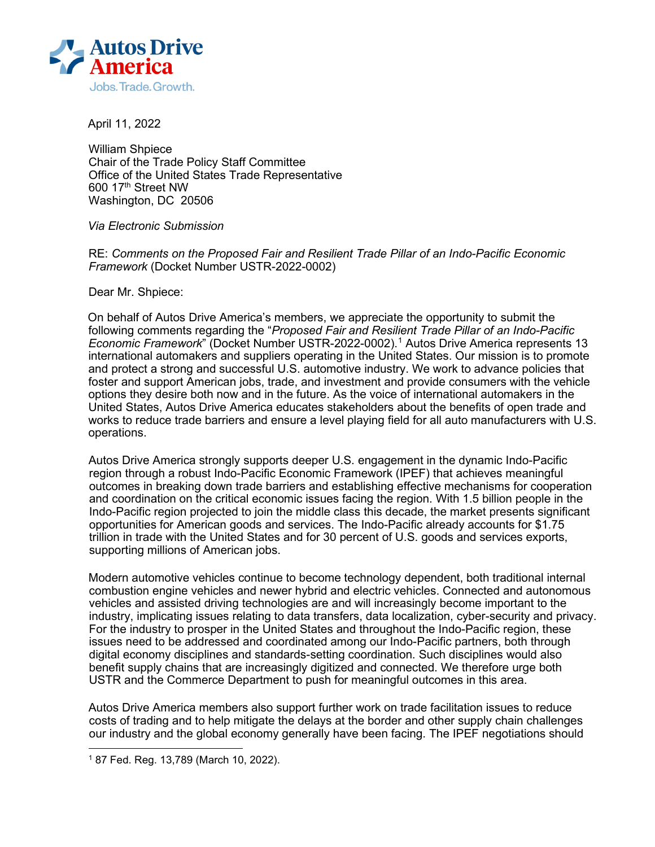

April 11, 2022

William Shpiece Chair of the Trade Policy Staff Committee Office of the United States Trade Representative 600 17th Street NW Washington, DC 20506

*Via Electronic Submission* 

RE: *Comments on the Proposed Fair and Resilient Trade Pillar of an Indo-Pacific Economic Framework* (Docket Number USTR-2022-0002)

Dear Mr. Shpiece:

On behalf of Autos Drive America's members, we appreciate the opportunity to submit the following comments regarding the "*Proposed Fair and Resilient Trade Pillar of an Indo-Pacific Economic Framework*" (Docket Number USTR-2022-0002). [1](#page-0-0) Autos Drive America represents 13 international automakers and suppliers operating in the United States. Our mission is to promote and protect a strong and successful U.S. automotive industry. We work to advance policies that foster and support American jobs, trade, and investment and provide consumers with the vehicle options they desire both now and in the future. As the voice of international automakers in the United States, Autos Drive America educates stakeholders about the benefits of open trade and works to reduce trade barriers and ensure a level playing field for all auto manufacturers with U.S. operations.

Autos Drive America strongly supports deeper U.S. engagement in the dynamic Indo-Pacific region through a robust Indo-Pacific Economic Framework (IPEF) that achieves meaningful outcomes in breaking down trade barriers and establishing effective mechanisms for cooperation and coordination on the critical economic issues facing the region. With 1.5 billion people in the Indo-Pacific region projected to join the middle class this decade, the market presents significant opportunities for American goods and services. The Indo-Pacific already accounts for \$1.75 trillion in trade with the United States and for 30 percent of U.S. goods and services exports, supporting millions of American jobs.

Modern automotive vehicles continue to become technology dependent, both traditional internal combustion engine vehicles and newer hybrid and electric vehicles. Connected and autonomous vehicles and assisted driving technologies are and will increasingly become important to the industry, implicating issues relating to data transfers, data localization, cyber-security and privacy. For the industry to prosper in the United States and throughout the Indo-Pacific region, these issues need to be addressed and coordinated among our Indo-Pacific partners, both through digital economy disciplines and standards-setting coordination. Such disciplines would also benefit supply chains that are increasingly digitized and connected. We therefore urge both USTR and the Commerce Department to push for meaningful outcomes in this area.

Autos Drive America members also support further work on trade facilitation issues to reduce costs of trading and to help mitigate the delays at the border and other supply chain challenges our industry and the global economy generally have been facing. The IPEF negotiations should

<span id="page-0-0"></span><sup>1</sup> 87 Fed. Reg. 13,789 (March 10, 2022).